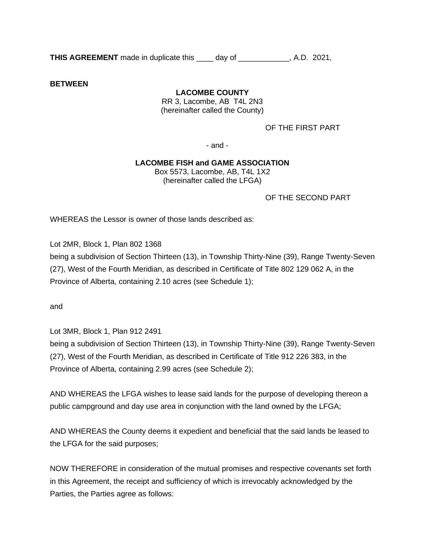**THIS AGREEMENT** made in duplicate this day of the state. A.D. 2021,

**BETWEEN**

## **LACOMBE COUNTY**

RR 3, Lacombe, AB T4L 2N3 (hereinafter called the County)

OF THE FIRST PART

- and -

## **LACOMBE FISH and GAME ASSOCIATION**

Box 5573, Lacombe, AB, T4L 1X2 (hereinafter called the LFGA)

OF THE SECOND PART

WHEREAS the Lessor is owner of those lands described as:

Lot 2MR, Block 1, Plan 802 1368

being a subdivision of Section Thirteen (13), in Township Thirty-Nine (39), Range Twenty-Seven (27), West of the Fourth Meridian, as described in Certificate of Title 802 129 062 A, in the Province of Alberta, containing 2.10 acres (see Schedule 1);

and

Lot 3MR, Block 1, Plan 912 2491

being a subdivision of Section Thirteen (13), in Township Thirty-Nine (39), Range Twenty-Seven (27), West of the Fourth Meridian, as described in Certificate of Title 912 226 383, in the Province of Alberta, containing 2.99 acres (see Schedule 2);

AND WHEREAS the LFGA wishes to lease said lands for the purpose of developing thereon a public campground and day use area in conjunction with the land owned by the LFGA;

AND WHEREAS the County deems it expedient and beneficial that the said lands be leased to the LFGA for the said purposes;

NOW THEREFORE in consideration of the mutual promises and respective covenants set forth in this Agreement, the receipt and sufficiency of which is irrevocably acknowledged by the Parties, the Parties agree as follows: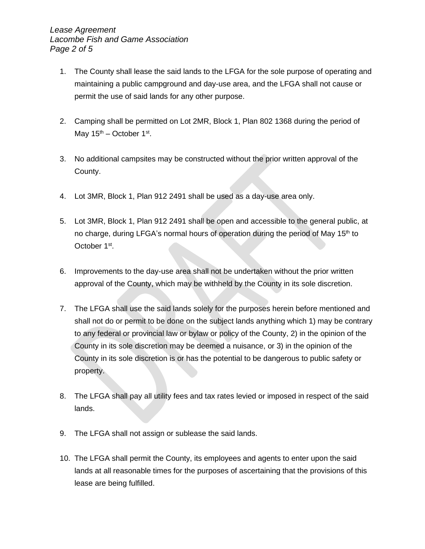- 1. The County shall lease the said lands to the LFGA for the sole purpose of operating and maintaining a public campground and day-use area, and the LFGA shall not cause or permit the use of said lands for any other purpose.
- 2. Camping shall be permitted on Lot 2MR, Block 1, Plan 802 1368 during the period of May  $15^{th}$  – October  $1^{st}$ .
- 3. No additional campsites may be constructed without the prior written approval of the County.
- 4. Lot 3MR, Block 1, Plan 912 2491 shall be used as a day-use area only.
- 5. Lot 3MR, Block 1, Plan 912 2491 shall be open and accessible to the general public, at no charge, during LFGA's normal hours of operation during the period of May 15<sup>th</sup> to October 1<sup>st</sup>.
- 6. Improvements to the day-use area shall not be undertaken without the prior written approval of the County, which may be withheld by the County in its sole discretion.
- 7. The LFGA shall use the said lands solely for the purposes herein before mentioned and shall not do or permit to be done on the subject lands anything which 1) may be contrary to any federal or provincial law or bylaw or policy of the County, 2) in the opinion of the County in its sole discretion may be deemed a nuisance, or 3) in the opinion of the County in its sole discretion is or has the potential to be dangerous to public safety or property.
- 8. The LFGA shall pay all utility fees and tax rates levied or imposed in respect of the said lands.
- 9. The LFGA shall not assign or sublease the said lands.
- 10. The LFGA shall permit the County, its employees and agents to enter upon the said lands at all reasonable times for the purposes of ascertaining that the provisions of this lease are being fulfilled.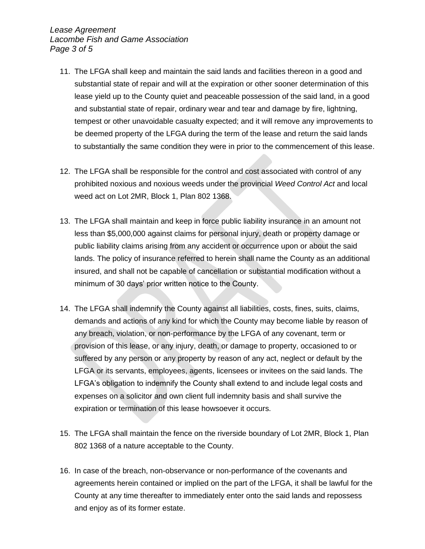*Lease Agreement Lacombe Fish and Game Association Page 3 of 5*

- 11. The LFGA shall keep and maintain the said lands and facilities thereon in a good and substantial state of repair and will at the expiration or other sooner determination of this lease yield up to the County quiet and peaceable possession of the said land, in a good and substantial state of repair, ordinary wear and tear and damage by fire, lightning, tempest or other unavoidable casualty expected; and it will remove any improvements to be deemed property of the LFGA during the term of the lease and return the said lands to substantially the same condition they were in prior to the commencement of this lease.
- 12. The LFGA shall be responsible for the control and cost associated with control of any prohibited noxious and noxious weeds under the provincial *Weed Control Act* and local weed act on Lot 2MR, Block 1, Plan 802 1368.
- 13. The LFGA shall maintain and keep in force public liability insurance in an amount not less than \$5,000,000 against claims for personal injury, death or property damage or public liability claims arising from any accident or occurrence upon or about the said lands. The policy of insurance referred to herein shall name the County as an additional insured, and shall not be capable of cancellation or substantial modification without a minimum of 30 days' prior written notice to the County.
- 14. The LFGA shall indemnify the County against all liabilities, costs, fines, suits, claims, demands and actions of any kind for which the County may become liable by reason of any breach, violation, or non-performance by the LFGA of any covenant, term or provision of this lease, or any injury, death, or damage to property, occasioned to or suffered by any person or any property by reason of any act, neglect or default by the LFGA or its servants, employees, agents, licensees or invitees on the said lands. The LFGA's obligation to indemnify the County shall extend to and include legal costs and expenses on a solicitor and own client full indemnity basis and shall survive the expiration or termination of this lease howsoever it occurs.
- 15. The LFGA shall maintain the fence on the riverside boundary of Lot 2MR, Block 1, Plan 802 1368 of a nature acceptable to the County.
- 16. In case of the breach, non-observance or non-performance of the covenants and agreements herein contained or implied on the part of the LFGA, it shall be lawful for the County at any time thereafter to immediately enter onto the said lands and repossess and enjoy as of its former estate.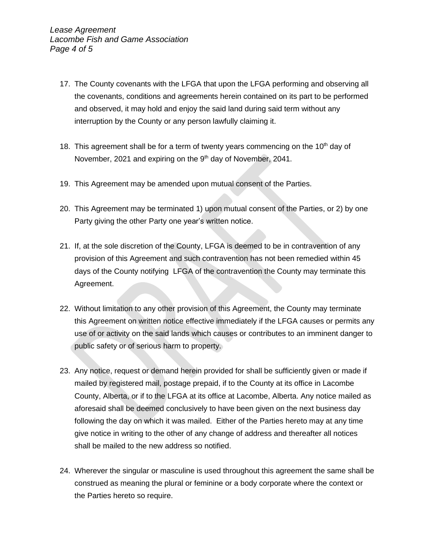- 17. The County covenants with the LFGA that upon the LFGA performing and observing all the covenants, conditions and agreements herein contained on its part to be performed and observed, it may hold and enjoy the said land during said term without any interruption by the County or any person lawfully claiming it.
- 18. This agreement shall be for a term of twenty years commencing on the  $10<sup>th</sup>$  day of November, 2021 and expiring on the 9<sup>th</sup> day of November, 2041.
- 19. This Agreement may be amended upon mutual consent of the Parties.
- 20. This Agreement may be terminated 1) upon mutual consent of the Parties, or 2) by one Party giving the other Party one year's written notice.
- 21. If, at the sole discretion of the County, LFGA is deemed to be in contravention of any provision of this Agreement and such contravention has not been remedied within 45 days of the County notifying LFGA of the contravention the County may terminate this Agreement.
- 22. Without limitation to any other provision of this Agreement, the County may terminate this Agreement on written notice effective immediately if the LFGA causes or permits any use of or activity on the said lands which causes or contributes to an imminent danger to public safety or of serious harm to property.
- 23. Any notice, request or demand herein provided for shall be sufficiently given or made if mailed by registered mail, postage prepaid, if to the County at its office in Lacombe County, Alberta, or if to the LFGA at its office at Lacombe, Alberta. Any notice mailed as aforesaid shall be deemed conclusively to have been given on the next business day following the day on which it was mailed. Either of the Parties hereto may at any time give notice in writing to the other of any change of address and thereafter all notices shall be mailed to the new address so notified.
- 24. Wherever the singular or masculine is used throughout this agreement the same shall be construed as meaning the plural or feminine or a body corporate where the context or the Parties hereto so require.